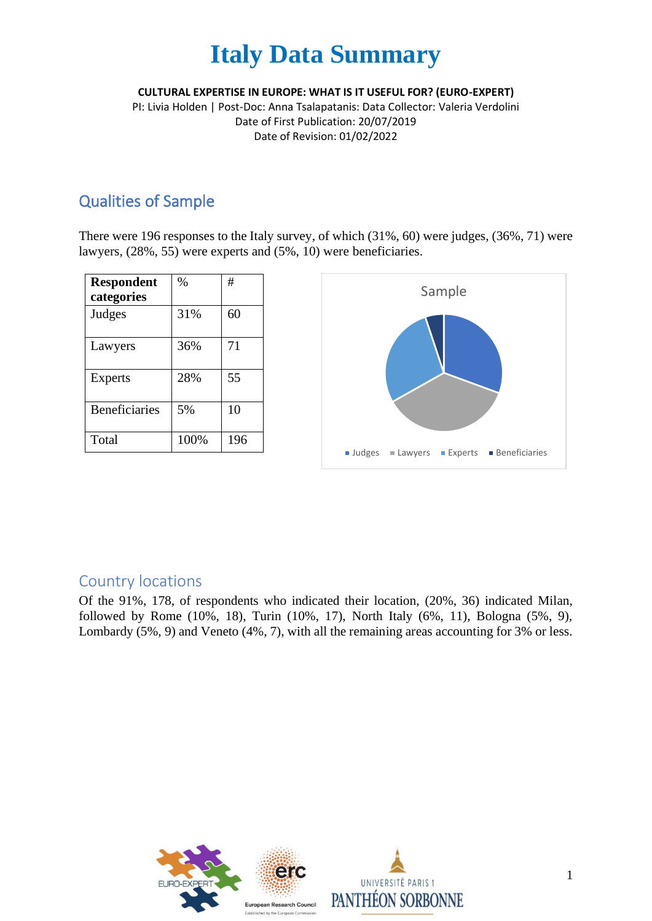**CULTURAL EXPERTISE IN EUROPE: WHAT IS IT USEFUL FOR? (EURO-EXPERT)**

PI: Livia Holden | Post-Doc: Anna Tsalapatanis: Data Collector: Valeria Verdolini Date of First Publication: 20/07/2019 Date of Revision: 01/02/2022

## Qualities of Sample

There were 196 responses to the Italy survey, of which (31%, 60) were judges, (36%, 71) were lawyers, (28%, 55) were experts and (5%, 10) were beneficiaries.

| <b>Respondent</b>    | $\%$ | #   |
|----------------------|------|-----|
| categories           |      |     |
| Judges               | 31%  | 60  |
| Lawyers              | 36%  | 71  |
| <b>Experts</b>       | 28%  | 55  |
| <b>Beneficiaries</b> | 5%   | 10  |
| Total                | 100% | 196 |



### Country locations

Of the 91%, 178, of respondents who indicated their location, (20%, 36) indicated Milan, followed by Rome (10%, 18), Turin (10%, 17), North Italy (6%, 11), Bologna (5%, 9), Lombardy (5%, 9) and Veneto (4%, 7), with all the remaining areas accounting for 3% or less.

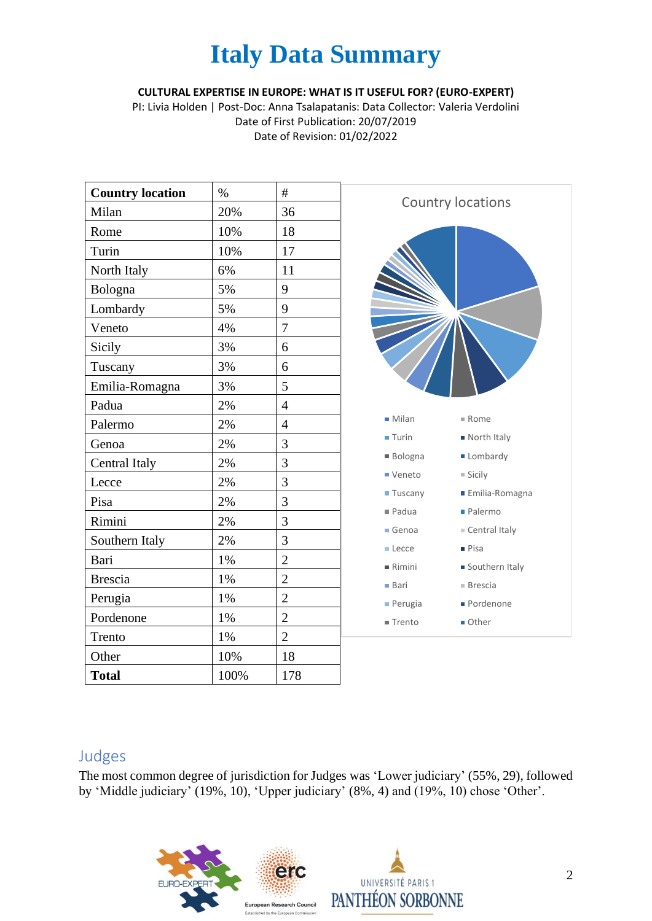**CULTURAL EXPERTISE IN EUROPE: WHAT IS IT USEFUL FOR? (EURO-EXPERT)**

PI: Livia Holden | Post-Doc: Anna Tsalapatanis: Data Collector: Valeria Verdolini Date of First Publication: 20/07/2019 Date of Revision: 01/02/2022

| <b>Country location</b> | $\%$ | #              |
|-------------------------|------|----------------|
| Milan                   | 20%  | 36             |
| Rome                    | 10%  | 18             |
| Turin                   | 10%  | 17             |
| North Italy             | 6%   | 11             |
| Bologna                 | 5%   | 9              |
| Lombardy                | 5%   | 9              |
| Veneto                  | 4%   | 7              |
| Sicily                  | 3%   | 6              |
| Tuscany                 | 3%   | 6              |
| Emilia-Romagna          | 3%   | 5              |
| Padua                   | 2%   | $\overline{4}$ |
| Palermo                 | 2%   | $\overline{4}$ |
| Genoa                   | 2%   | 3              |
| Central Italy           | 2%   | 3              |
| Lecce                   | 2%   | 3              |
| Pisa                    | 2%   | 3              |
| Rimini                  | 2%   | 3              |
| Southern Italy          | 2%   | 3              |
| Bari                    | 1%   | $\overline{2}$ |
| <b>Brescia</b>          | 1%   | $\overline{c}$ |
| Perugia                 | 1%   | $\overline{c}$ |
| Pordenone               | 1%   | $\overline{2}$ |
| Trento                  | 1%   | $\overline{2}$ |
| Other                   | 10%  | 18             |
| <b>Total</b>            | 100% | 178            |



### Judges

The most common degree of jurisdiction for Judges was 'Lower judiciary' (55%, 29), followed by 'Middle judiciary' (19%, 10), 'Upper judiciary' (8%, 4) and (19%, 10) chose 'Other'.

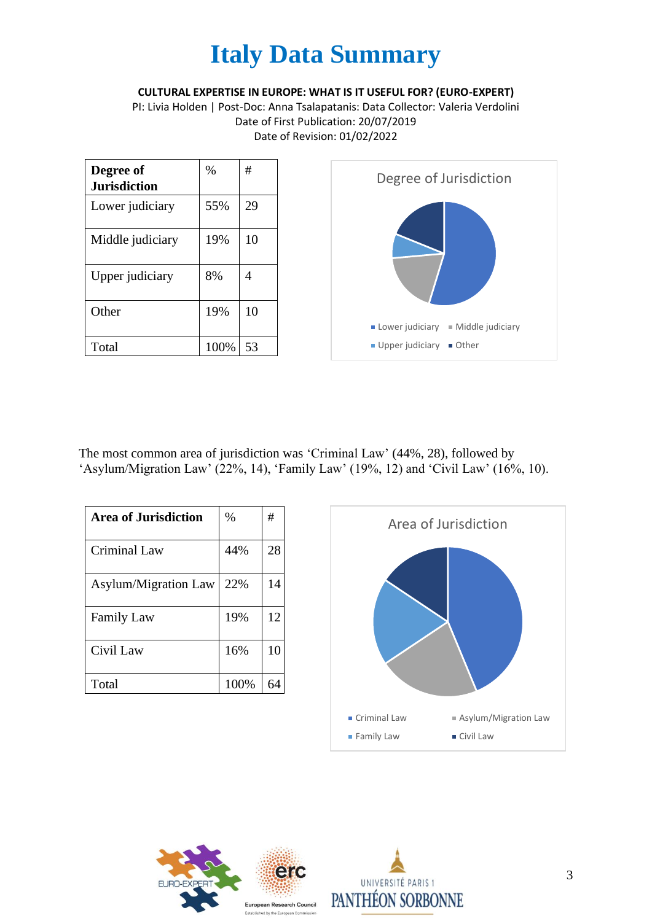**CULTURAL EXPERTISE IN EUROPE: WHAT IS IT USEFUL FOR? (EURO-EXPERT)**

PI: Livia Holden | Post-Doc: Anna Tsalapatanis: Data Collector: Valeria Verdolini Date of First Publication: 20/07/2019 Date of Revision: 01/02/2022

| Degree of<br><b>Jurisdiction</b> | %    | #              |
|----------------------------------|------|----------------|
| Lower judiciary                  | 55%  | 29             |
| Middle judiciary                 | 19%  | 10             |
| Upper judiciary                  | 8%   | $\overline{4}$ |
| Other                            | 19%  | 10             |
|                                  |      |                |
| Total                            | 100% | 53             |

The most common area of jurisdiction was 'Criminal Law' (44%, 28), followed by 'Asylum/Migration Law' (22%, 14), 'Family Law' (19%, 12) and 'Civil Law' (16%, 10).

| <b>Area of Jurisdiction</b> | $\%$ | #  |
|-----------------------------|------|----|
| <b>Criminal Law</b>         | 44%  | 28 |
| Asylum/Migration Law        | 22%  | 14 |
| <b>Family Law</b>           | 19%  | 12 |
| Civil Law                   | 16%  | 10 |
| Total                       | 100% |    |





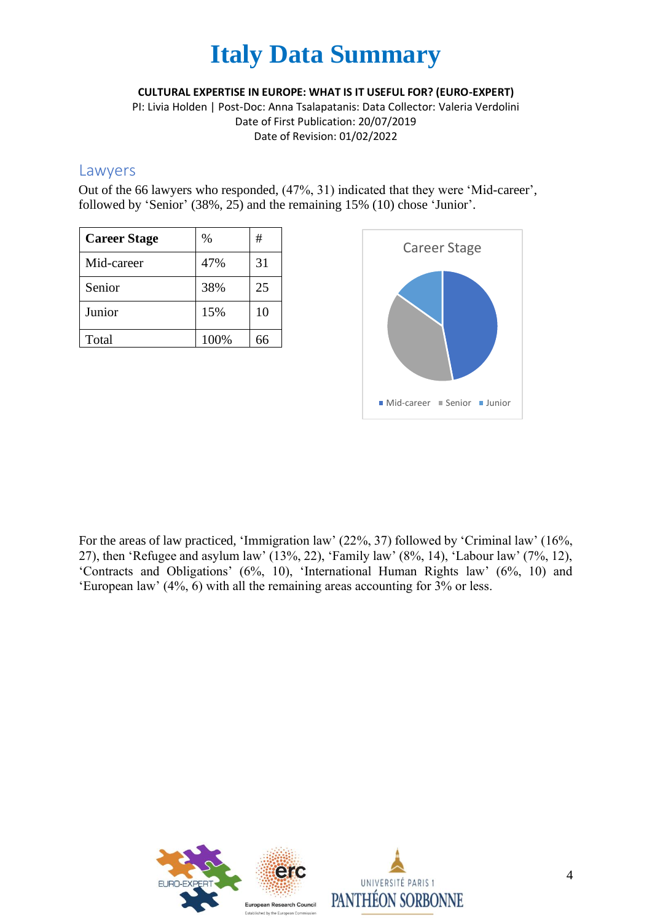**CULTURAL EXPERTISE IN EUROPE: WHAT IS IT USEFUL FOR? (EURO-EXPERT)**

PI: Livia Holden | Post-Doc: Anna Tsalapatanis: Data Collector: Valeria Verdolini Date of First Publication: 20/07/2019 Date of Revision: 01/02/2022

#### Lawyers

Out of the 66 lawyers who responded, (47%, 31) indicated that they were 'Mid-career', followed by 'Senior' (38%, 25) and the remaining 15% (10) chose 'Junior'.

| <b>Career Stage</b> | $\%$ | #  |
|---------------------|------|----|
| Mid-career          | 47%  | 31 |
| Senior              | 38%  | 25 |
| Junior              | 15%  | 10 |
| Total               | 100% | 66 |



For the areas of law practiced, 'Immigration law' (22%, 37) followed by 'Criminal law' (16%, 27), then 'Refugee and asylum law' (13%, 22), 'Family law' (8%, 14), 'Labour law' (7%, 12), 'Contracts and Obligations' (6%, 10), 'International Human Rights law' (6%, 10) and 'European law' (4%, 6) with all the remaining areas accounting for 3% or less.

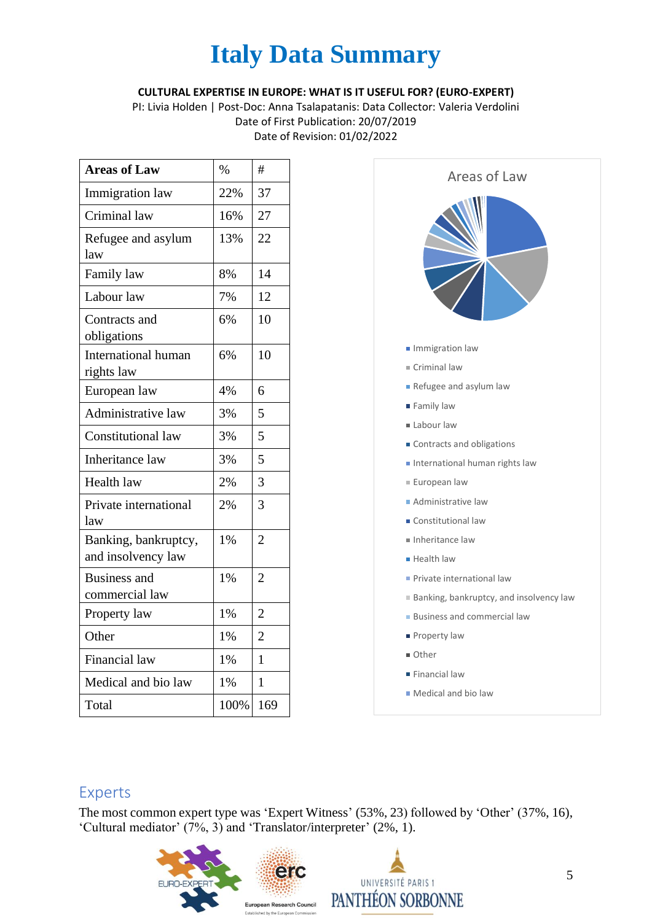#### **CULTURAL EXPERTISE IN EUROPE: WHAT IS IT USEFUL FOR? (EURO-EXPERT)**

PI: Livia Holden | Post-Doc: Anna Tsalapatanis: Data Collector: Valeria Verdolini Date of First Publication: 20/07/2019 Date of Revision: 01/02/2022

| <b>Areas of Law</b>                        | $\%$  | #              |
|--------------------------------------------|-------|----------------|
| <b>Immigration</b> law                     | 22%   | 37             |
| Criminal law                               | 16%   | 27             |
| Refugee and asylum<br>law                  | 13%   | 22             |
| Family law                                 | 8%    | 14             |
| Labour law                                 | 7%    | 12             |
| Contracts and<br>obligations               | 6%    | 10             |
| International human<br>rights law          | 6%    | 10             |
| European law                               | 4%    | 6              |
| Administrative law                         | 3%    | 5              |
| Constitutional law                         | 3%    | 5              |
| <b>Inheritance</b> law                     | 3%    | 5              |
| <b>Health law</b>                          | 2%    | 3              |
| Private international<br>law               | 2%    | 3              |
| Banking, bankruptcy,<br>and insolvency law | 1%    | $\overline{2}$ |
| <b>Business</b> and<br>commercial law      | 1%    | $\overline{c}$ |
| Property law                               | $1\%$ | $\overline{2}$ |
| Other                                      | 1%    | $\overline{2}$ |
| <b>Financial</b> law                       | 1%    | 1              |
| Medical and bio law                        | 1%    | 1              |
| Total                                      | 100%  | 169            |



- Financial law
- **Medical and bio law**

#### Experts

The most common expert type was 'Expert Witness' (53%, 23) followed by 'Other' (37%, 16), 'Cultural mediator' (7%, 3) and 'Translator/interpreter' (2%, 1).

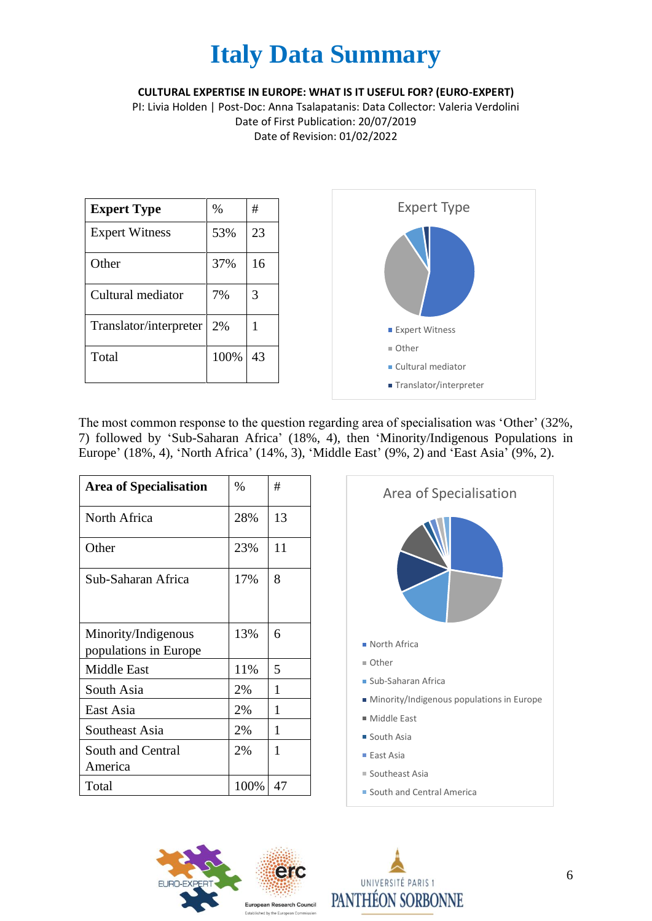**CULTURAL EXPERTISE IN EUROPE: WHAT IS IT USEFUL FOR? (EURO-EXPERT)**

PI: Livia Holden | Post-Doc: Anna Tsalapatanis: Data Collector: Valeria Verdolini Date of First Publication: 20/07/2019 Date of Revision: 01/02/2022



The most common response to the question regarding area of specialisation was 'Other' (32%, 7) followed by 'Sub-Saharan Africa' (18%, 4), then 'Minority/Indigenous Populations in Europe' (18%, 4), 'North Africa' (14%, 3), 'Middle East' (9%, 2) and 'East Asia' (9%, 2).

| <b>Area of Specialisation</b>                | $\%$ | #  |
|----------------------------------------------|------|----|
| North Africa                                 | 28%  | 13 |
| Other                                        | 23%  | 11 |
| Sub-Saharan Africa                           | 17%  | 8  |
| Minority/Indigenous<br>populations in Europe | 13%  | 6  |
| <b>Middle East</b>                           | 11%  | 5  |
| South Asia                                   | 2%   | 1  |
| East Asia                                    | 2%   | 1  |
| Southeast Asia                               | 2%   | 1  |
| South and Central<br>America                 | 2%   | 1  |
| Total                                        | 100% | 47 |





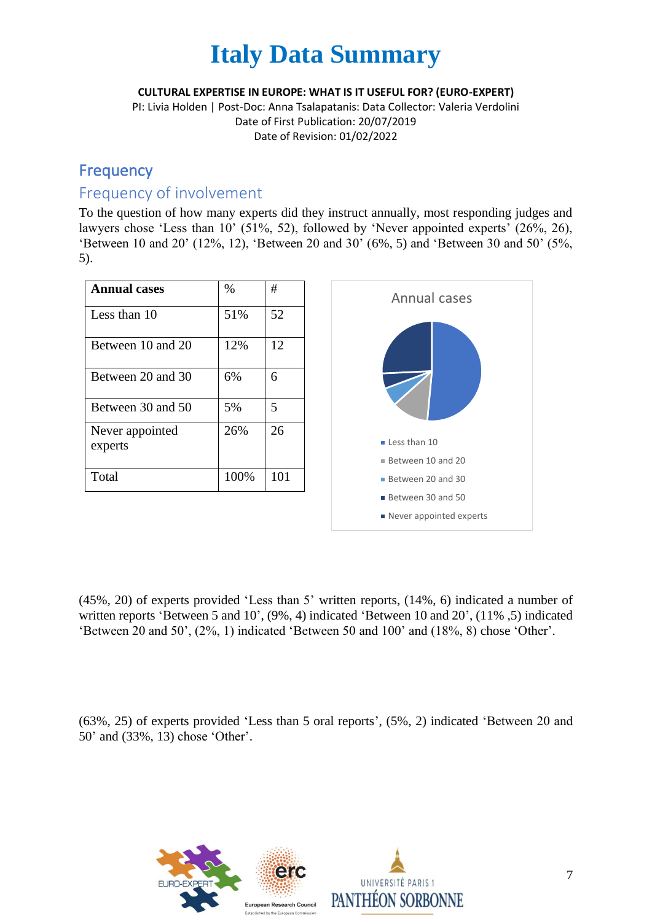#### **CULTURAL EXPERTISE IN EUROPE: WHAT IS IT USEFUL FOR? (EURO-EXPERT)**

PI: Livia Holden | Post-Doc: Anna Tsalapatanis: Data Collector: Valeria Verdolini Date of First Publication: 20/07/2019 Date of Revision: 01/02/2022

### **Frequency**

### Frequency of involvement

To the question of how many experts did they instruct annually, most responding judges and lawyers chose 'Less than 10' (51%, 52), followed by 'Never appointed experts' (26%, 26), 'Between 10 and 20' (12%, 12), 'Between 20 and 30' (6%, 5) and 'Between 30 and 50' (5%, 5).

| <b>Annual cases</b>        | $\%$ | #   |
|----------------------------|------|-----|
| Less than 10               | 51%  | 52  |
| Between 10 and 20          | 12%  | 12  |
| Between 20 and 30          | 6%   | 6   |
| Between 30 and 50          | 5%   | 5   |
| Never appointed<br>experts | 26%  | 26  |
| Total                      | 100% | 101 |



(45%, 20) of experts provided 'Less than 5' written reports, (14%, 6) indicated a number of written reports 'Between 5 and 10', (9%, 4) indicated 'Between 10 and 20', (11% ,5) indicated 'Between 20 and 50', (2%, 1) indicated 'Between 50 and 100' and (18%, 8) chose 'Other'.

(63%, 25) of experts provided 'Less than 5 oral reports', (5%, 2) indicated 'Between 20 and 50' and (33%, 13) chose 'Other'.

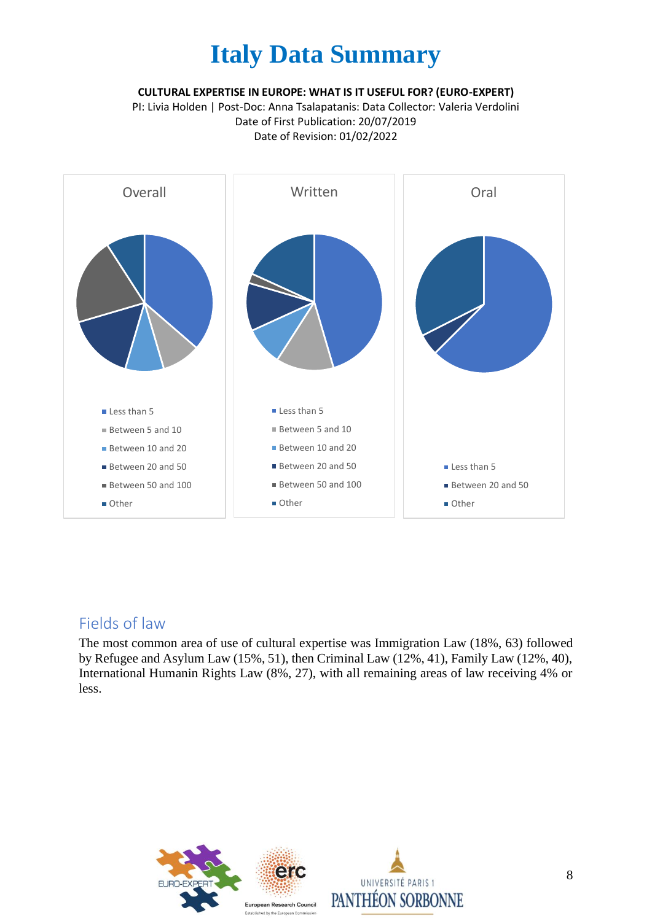**CULTURAL EXPERTISE IN EUROPE: WHAT IS IT USEFUL FOR? (EURO-EXPERT)**

PI: Livia Holden | Post-Doc: Anna Tsalapatanis: Data Collector: Valeria Verdolini Date of First Publication: 20/07/2019 Date of Revision: 01/02/2022



### Fields of law

The most common area of use of cultural expertise was Immigration Law (18%, 63) followed by Refugee and Asylum Law (15%, 51), then Criminal Law (12%, 41), Family Law (12%, 40), International Humanin Rights Law (8%, 27), with all remaining areas of law receiving 4% or less.

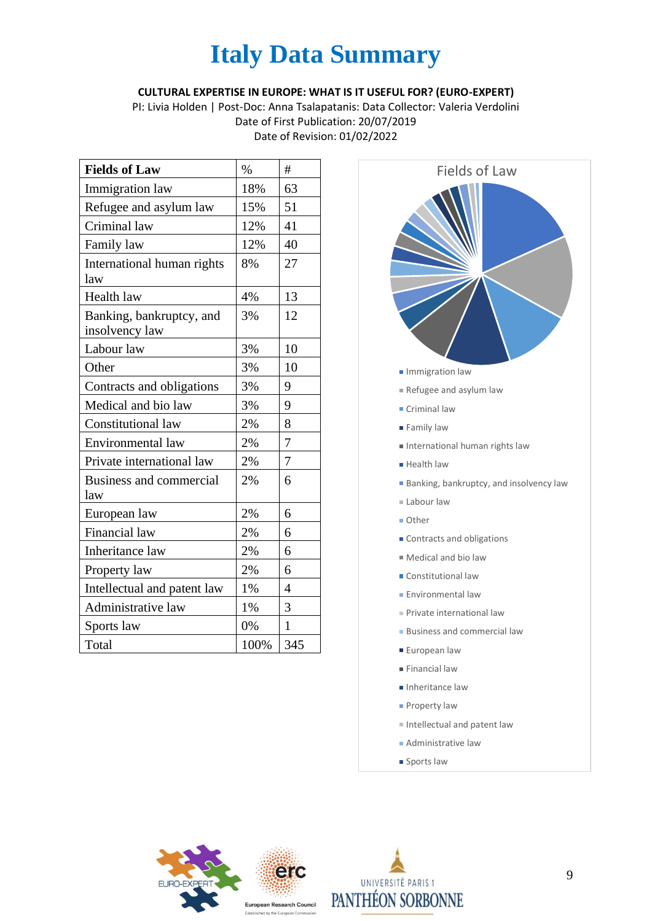#### **CULTURAL EXPERTISE IN EUROPE: WHAT IS IT USEFUL FOR? (EURO-EXPERT)**

PI: Livia Holden | Post-Doc: Anna Tsalapatanis: Data Collector: Valeria Verdolini Date of First Publication: 20/07/2019 Date of Revision: 01/02/2022

| <b>Fields of Law</b>                       | $\%$ | #              |
|--------------------------------------------|------|----------------|
| Immigration law                            | 18%  | 63             |
| Refugee and asylum law                     | 15%  | 51             |
| Criminal law                               | 12%  | 41             |
| Family law                                 | 12%  | 40             |
| International human rights<br>law          | 8%   | 27             |
| Health law                                 | 4%   | 13             |
| Banking, bankruptcy, and<br>insolvency law | 3%   | 12             |
| Labour law                                 | 3%   | 10             |
| Other                                      | 3%   | 10             |
| Contracts and obligations                  | 3%   | 9              |
| Medical and bio law                        | 3%   | 9              |
| Constitutional law                         | 2%   | 8              |
| Environmental law                          | 2%   | 7              |
| Private international law                  | 2%   | $\overline{7}$ |
| <b>Business and commercial</b><br>law      | 2%   | 6              |
| European law                               | 2%   | 6              |
| Financial law                              | 2%   | 6              |
| Inheritance law                            | 2%   | 6              |
| Property law                               | 2%   | 6              |
| Intellectual and patent law                | 1%   | 4              |
| Administrative law                         | 1%   | 3              |
| Sports law                                 | 0%   | $\mathbf{1}$   |
| Total                                      | 100% | 345            |



- **Health law**
- **Banking, bankruptcy, and insolvency law**
- Labour law
- Other
- Contracts and obligations
- Medical and bio law
- Constitutional law
- **Environmental law**
- Private international law
- **Business and commercial law**
- **European law**
- Financial law
- Inheritance law
- **Property law**
- $\blacksquare$  Intellectual and patent law
- Administrative law
- **Sports law**



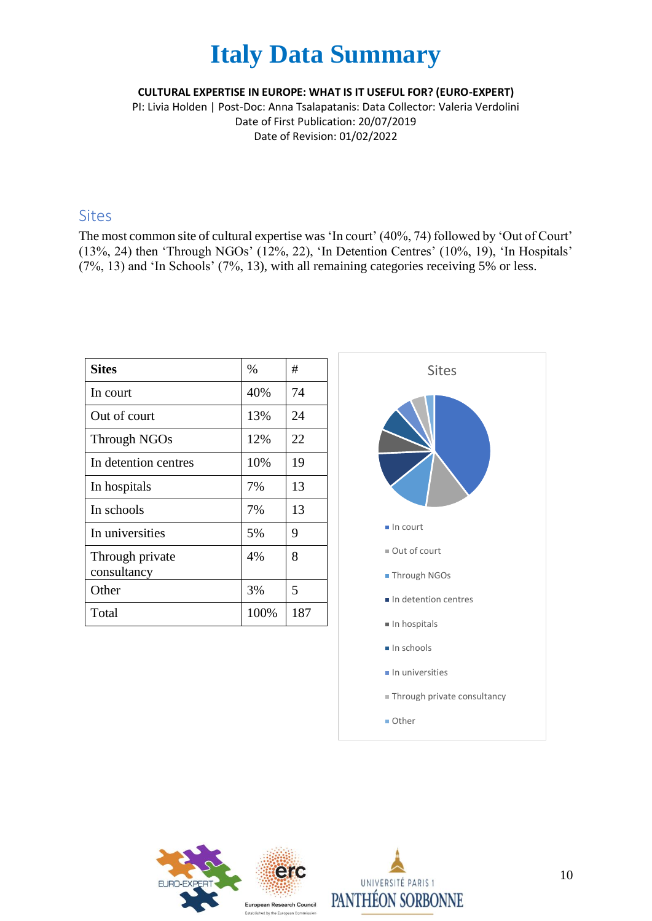#### **CULTURAL EXPERTISE IN EUROPE: WHAT IS IT USEFUL FOR? (EURO-EXPERT)**

PI: Livia Holden | Post-Doc: Anna Tsalapatanis: Data Collector: Valeria Verdolini Date of First Publication: 20/07/2019 Date of Revision: 01/02/2022

#### Sites

The most common site of cultural expertise was 'In court' (40%, 74) followed by 'Out of Court' (13%, 24) then 'Through NGOs' (12%, 22), 'In Detention Centres' (10%, 19), 'In Hospitals' (7%, 13) and 'In Schools' (7%, 13), with all remaining categories receiving 5% or less.

| <b>Sites</b>                   | $\%$ | #   |
|--------------------------------|------|-----|
| In court                       | 40%  | 74  |
| Out of court                   | 13%  | 24  |
| Through NGOs                   | 12%  | 22  |
| In detention centres           | 10%  | 19  |
| In hospitals                   | 7%   | 13  |
| In schools                     | 7%   | 13  |
| In universities                | 5%   | 9   |
| Through private<br>consultancy | 4%   | 8   |
| Other                          | 3%   | 5   |
| Total                          | 100% | 187 |





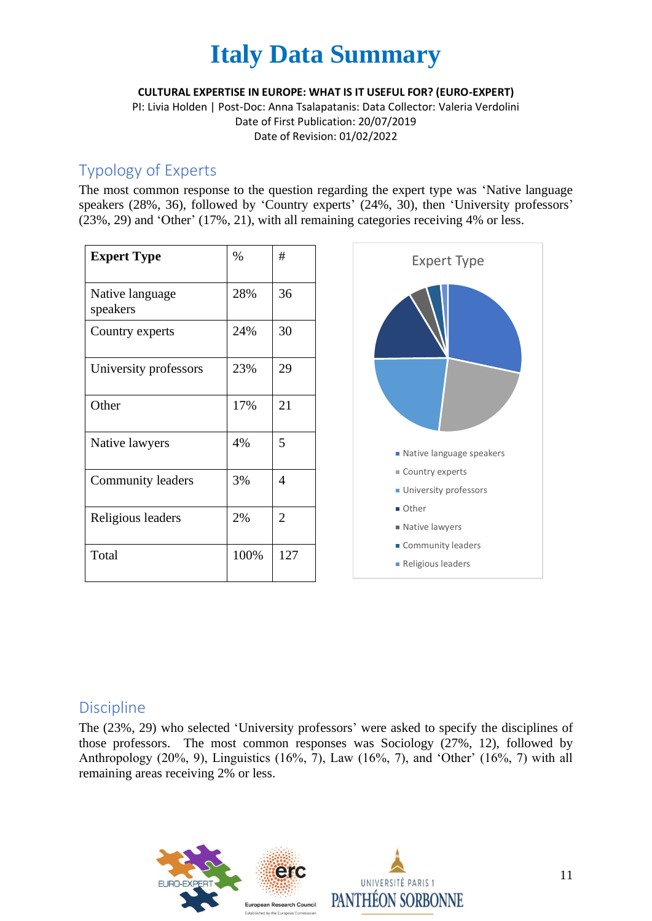

**CULTURAL EXPERTISE IN EUROPE: WHAT IS IT USEFUL FOR? (EURO-EXPERT)**

PI: Livia Holden | Post-Doc: Anna Tsalapatanis: Data Collector: Valeria Verdolini Date of First Publication: 20/07/2019 Date of Revision: 01/02/2022

### Typology of Experts

The most common response to the question regarding the expert type was 'Native language speakers (28%, 36), followed by 'Country experts' (24%, 30), then 'University professors' (23%, 29) and 'Other' (17%, 21), with all remaining categories receiving 4% or less.

| <b>Expert Type</b>          | $\%$ | #              |
|-----------------------------|------|----------------|
| Native language<br>speakers | 28%  | 36             |
| Country experts             | 24%  | 30             |
| University professors       | 23%  | 29             |
| Other                       | 17%  | 21             |
| Native lawyers              | 4%   | 5              |
| Community leaders           | 3%   | 4              |
| Religious leaders           | 2%   | $\overline{2}$ |
| Total                       | 100% | 127            |



#### **Discipline**

The (23%, 29) who selected 'University professors' were asked to specify the disciplines of those professors. The most common responses was Sociology (27%, 12), followed by Anthropology (20%, 9), Linguistics (16%, 7), Law (16%, 7), and 'Other' (16%, 7) with all remaining areas receiving 2% or less.

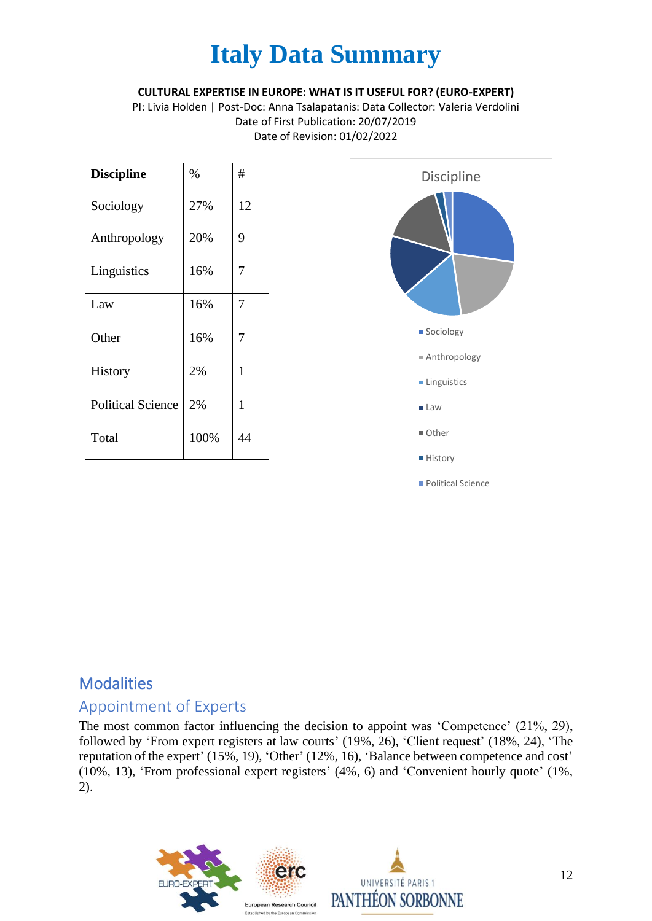#### **CULTURAL EXPERTISE IN EUROPE: WHAT IS IT USEFUL FOR? (EURO-EXPERT)**

PI: Livia Holden | Post-Doc: Anna Tsalapatanis: Data Collector: Valeria Verdolini Date of First Publication: 20/07/2019 Date of Revision: 01/02/2022

| <b>Discipline</b>        | %    | #  |
|--------------------------|------|----|
| Sociology                | 27%  | 12 |
| Anthropology             | 20%  | 9  |
| Linguistics              | 16%  | 7  |
| Law                      | 16%  | 7  |
| Other                    | 16%  | 7  |
| <b>History</b>           | 2%   | 1  |
| <b>Political Science</b> | 2%   | 1  |
| Total                    | 100% | 44 |



## **Modalities**

### Appointment of Experts

The most common factor influencing the decision to appoint was 'Competence' (21%, 29), followed by 'From expert registers at law courts' (19%, 26), 'Client request' (18%, 24), 'The reputation of the expert' (15%, 19), 'Other' (12%, 16), 'Balance between competence and cost' (10%, 13), 'From professional expert registers' (4%, 6) and 'Convenient hourly quote' (1%, 2).

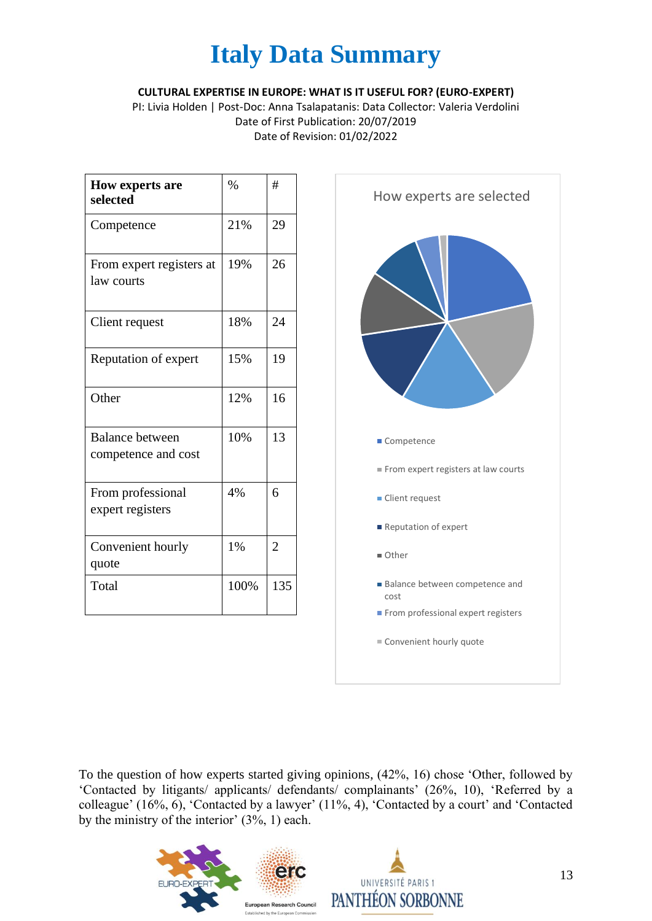**CULTURAL EXPERTISE IN EUROPE: WHAT IS IT USEFUL FOR? (EURO-EXPERT)**

PI: Livia Holden | Post-Doc: Anna Tsalapatanis: Data Collector: Valeria Verdolini Date of First Publication: 20/07/2019 Date of Revision: 01/02/2022

| <b>How experts are</b><br>selected            | $\frac{0}{0}$ | #              |
|-----------------------------------------------|---------------|----------------|
| Competence                                    | 21%           | 29             |
| From expert registers at<br>law courts        | 19%           | 26             |
| Client request                                | 18%           | 24             |
| Reputation of expert                          | 15%           | 19             |
| Other                                         | 12%           | 16             |
| <b>Balance between</b><br>competence and cost | 10%           | 13             |
| From professional<br>expert registers         | 4%            | 6              |
| Convenient hourly<br>quote                    | 1%            | $\overline{2}$ |
| Total                                         | 100%          | 135            |



To the question of how experts started giving opinions, (42%, 16) chose 'Other, followed by 'Contacted by litigants/ applicants/ defendants/ complainants' (26%, 10), 'Referred by a colleague' (16%, 6), 'Contacted by a lawyer' (11%, 4), 'Contacted by a court' and 'Contacted by the ministry of the interior' (3%, 1) each.

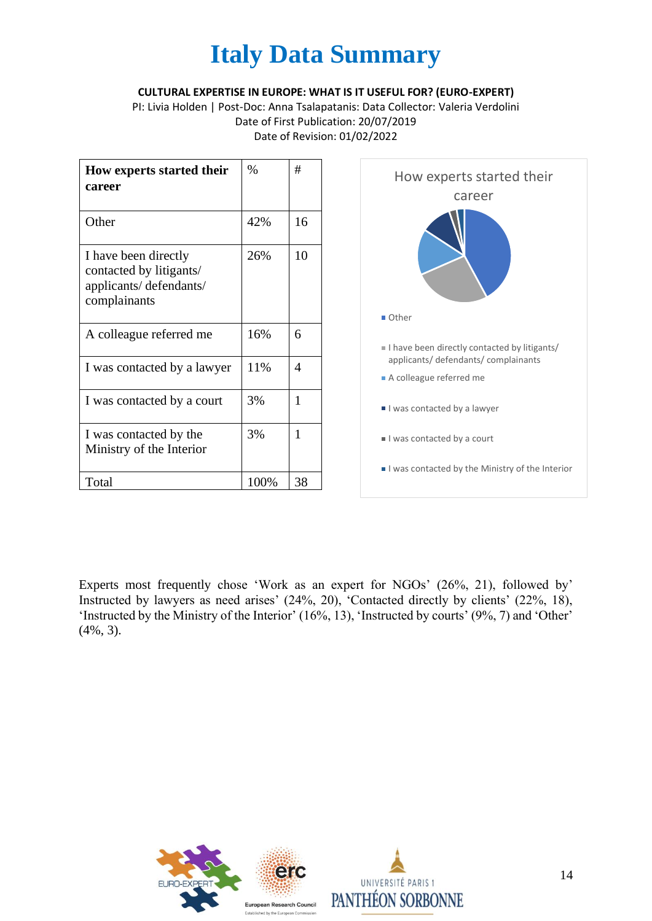#### **CULTURAL EXPERTISE IN EUROPE: WHAT IS IT USEFUL FOR? (EURO-EXPERT)**

PI: Livia Holden | Post-Doc: Anna Tsalapatanis: Data Collector: Valeria Verdolini Date of First Publication: 20/07/2019 Date of Revision: 01/02/2022

| How experts started their<br>career                                                       | $\%$ | #  |
|-------------------------------------------------------------------------------------------|------|----|
| Other                                                                                     | 42%  | 16 |
| I have been directly<br>contacted by litigants/<br>applicants/defendants/<br>complainants | 26%  | 10 |
| A colleague referred me                                                                   | 16%  | 6  |
| I was contacted by a lawyer                                                               | 11%  | 4  |
| I was contacted by a court                                                                | 3%   | 1  |
| I was contacted by the<br>Ministry of the Interior                                        | 3%   | 1  |
| Total                                                                                     | 100% | 38 |



Experts most frequently chose 'Work as an expert for NGOs' (26%, 21), followed by' Instructed by lawyers as need arises' (24%, 20), 'Contacted directly by clients' (22%, 18), 'Instructed by the Ministry of the Interior' (16%, 13), 'Instructed by courts' (9%, 7) and 'Other' (4%, 3).

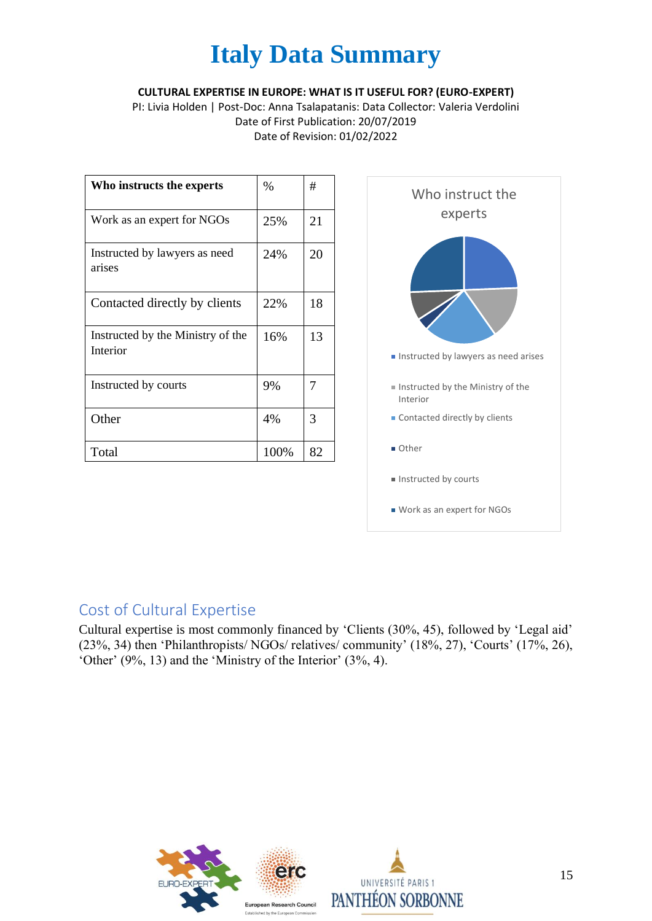#### **CULTURAL EXPERTISE IN EUROPE: WHAT IS IT USEFUL FOR? (EURO-EXPERT)**

PI: Livia Holden | Post-Doc: Anna Tsalapatanis: Data Collector: Valeria Verdolini Date of First Publication: 20/07/2019 Date of Revision: 01/02/2022

| Who instructs the experts                     | $\%$ | #  |
|-----------------------------------------------|------|----|
| Work as an expert for NGOs                    | 25%  | 21 |
| Instructed by lawyers as need<br>arises       | 24%  | 20 |
| Contacted directly by clients                 | 22%  | 18 |
| Instructed by the Ministry of the<br>Interior | 16%  | 13 |
| Instructed by courts                          | 9%   | 7  |
| Other                                         | 4%   | 3  |
| Total                                         | 100% | 82 |



## Cost of Cultural Expertise

Cultural expertise is most commonly financed by 'Clients (30%, 45), followed by 'Legal aid' (23%, 34) then 'Philanthropists/ NGOs/ relatives/ community' (18%, 27), 'Courts' (17%, 26), 'Other' (9%, 13) and the 'Ministry of the Interior' (3%, 4).

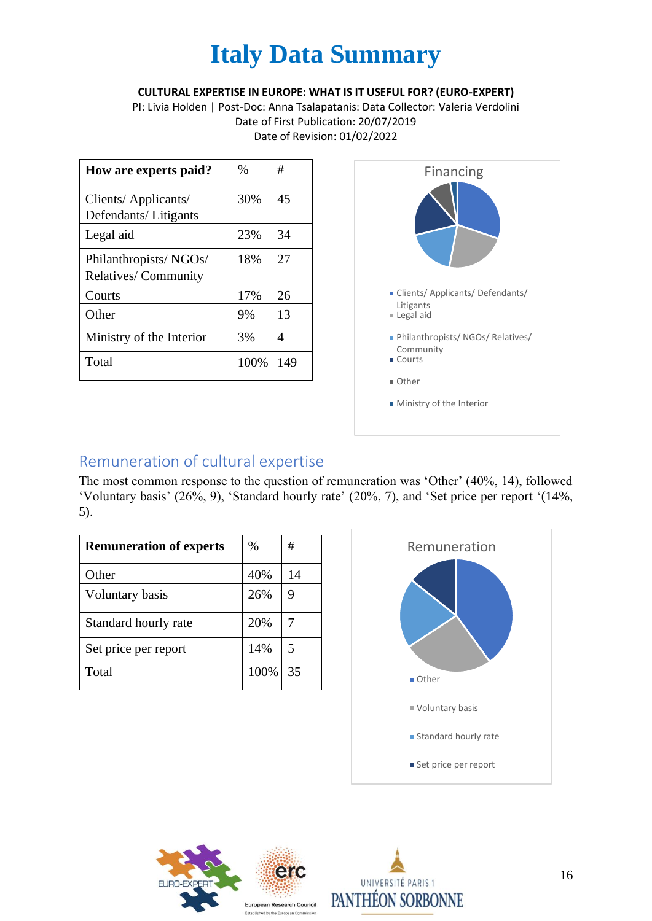#### **CULTURAL EXPERTISE IN EUROPE: WHAT IS IT USEFUL FOR? (EURO-EXPERT)**

PI: Livia Holden | Post-Doc: Anna Tsalapatanis: Data Collector: Valeria Verdolini Date of First Publication: 20/07/2019 Date of Revision: 01/02/2022

| How are experts paid?                               | $\%$ | #   |
|-----------------------------------------------------|------|-----|
| Clients/ Applicants/<br>Defendants/Litigants        | 30%  | 45  |
| Legal aid                                           | 23%  | 34  |
| Philanthropists/NGOs/<br><b>Relatives/Community</b> | 18%  | 27  |
| Courts                                              | 17%  | 26  |
| Other                                               | 9%   | 13  |
| Ministry of the Interior                            | 3%   | 4   |
| Total                                               | 100% | 149 |



### Remuneration of cultural expertise

The most common response to the question of remuneration was 'Other' (40%, 14), followed 'Voluntary basis' (26%, 9), 'Standard hourly rate' (20%, 7), and 'Set price per report '(14%, 5).

| <b>Remuneration of experts</b> | $\%$ | #  |
|--------------------------------|------|----|
| Other                          | 40%  | 14 |
| Voluntary basis                | 26%  | 9  |
| Standard hourly rate           | 20%  |    |
| Set price per report           | 14%  | 5  |
| Total                          | 100% | 35 |





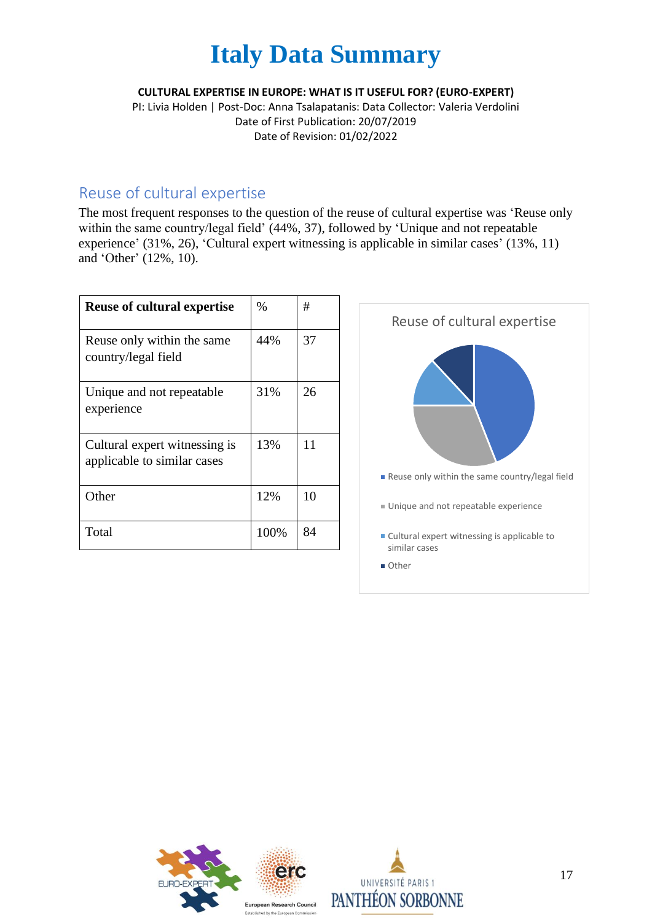#### **CULTURAL EXPERTISE IN EUROPE: WHAT IS IT USEFUL FOR? (EURO-EXPERT)**

PI: Livia Holden | Post-Doc: Anna Tsalapatanis: Data Collector: Valeria Verdolini Date of First Publication: 20/07/2019 Date of Revision: 01/02/2022

### Reuse of cultural expertise

The most frequent responses to the question of the reuse of cultural expertise was 'Reuse only within the same country/legal field' (44%, 37), followed by 'Unique and not repeatable experience' (31%, 26), 'Cultural expert witnessing is applicable in similar cases' (13%, 11) and 'Other' (12%, 10).

| <b>Reuse of cultural expertise</b>                           | $\%$ | #  |
|--------------------------------------------------------------|------|----|
| Reuse only within the same<br>country/legal field            | 44%  | 37 |
| Unique and not repeatable<br>experience                      | 31%  | 26 |
| Cultural expert witnessing is<br>applicable to similar cases | 13%  | 11 |
| Other                                                        | 12%  | 10 |
| Total                                                        | 100% | 84 |





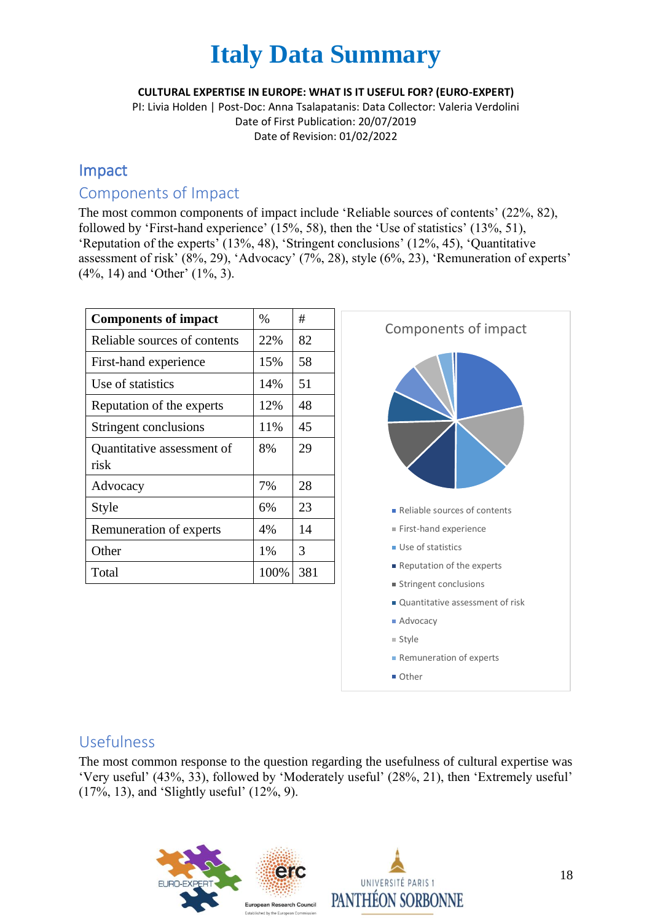#### **CULTURAL EXPERTISE IN EUROPE: WHAT IS IT USEFUL FOR? (EURO-EXPERT)**

PI: Livia Holden | Post-Doc: Anna Tsalapatanis: Data Collector: Valeria Verdolini Date of First Publication: 20/07/2019 Date of Revision: 01/02/2022

### Impact

#### Components of Impact

The most common components of impact include 'Reliable sources of contents' (22%, 82), followed by 'First-hand experience' (15%, 58), then the 'Use of statistics' (13%, 51), 'Reputation of the experts' (13%, 48), 'Stringent conclusions' (12%, 45), 'Quantitative assessment of risk' (8%, 29), 'Advocacy' (7%, 28), style (6%, 23), 'Remuneration of experts' (4%, 14) and 'Other' (1%, 3).

| <b>Components of impact</b>        | $\%$ | #   |
|------------------------------------|------|-----|
| Reliable sources of contents       | 22%  | 82  |
| First-hand experience              | 15%  | 58  |
| Use of statistics                  | 14%  | 51  |
| Reputation of the experts          | 12%  | 48  |
| Stringent conclusions              | 11%  | 45  |
| Quantitative assessment of<br>risk | 8%   | 29  |
| Advocacy                           | 7%   | 28  |
| Style                              | 6%   | 23  |
| Remuneration of experts            | 4%   | 14  |
| Other                              | 1%   | 3   |
| Total                              | 100% | 381 |



### Usefulness

The most common response to the question regarding the usefulness of cultural expertise was 'Very useful' (43%, 33), followed by 'Moderately useful' (28%, 21), then 'Extremely useful' (17%, 13), and 'Slightly useful' (12%, 9).

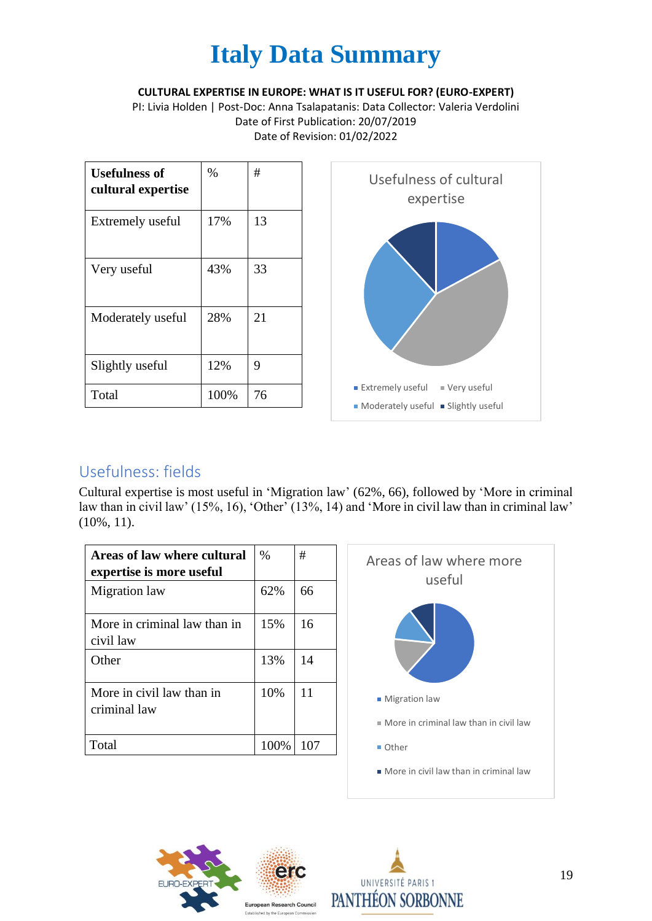**CULTURAL EXPERTISE IN EUROPE: WHAT IS IT USEFUL FOR? (EURO-EXPERT)**

PI: Livia Holden | Post-Doc: Anna Tsalapatanis: Data Collector: Valeria Verdolini Date of First Publication: 20/07/2019 Date of Revision: 01/02/2022

| <b>Usefulness of</b><br>cultural expertise | $\%$ | #  |
|--------------------------------------------|------|----|
| Extremely useful                           | 17%  | 13 |
| Very useful                                | 43%  | 33 |
| Moderately useful                          | 28%  | 21 |
| Slightly useful                            | 12%  | 9  |
| Total                                      | 100% | 76 |



## Usefulness: fields

Cultural expertise is most useful in 'Migration law' (62%, 66), followed by 'More in criminal law than in civil law' (15%, 16), 'Other' (13%, 14) and 'More in civil law than in criminal law' (10%, 11).

| Areas of law where cultural<br>expertise is more useful | $\%$ | #   |
|---------------------------------------------------------|------|-----|
| Migration law                                           | 62%  | 66  |
| More in criminal law than in<br>civil law               | 15%  | 16  |
| Other                                                   | 13%  | 14  |
| More in civil law than in<br>criminal law               | 10%  | 11  |
| Total                                                   | 100% | 107 |





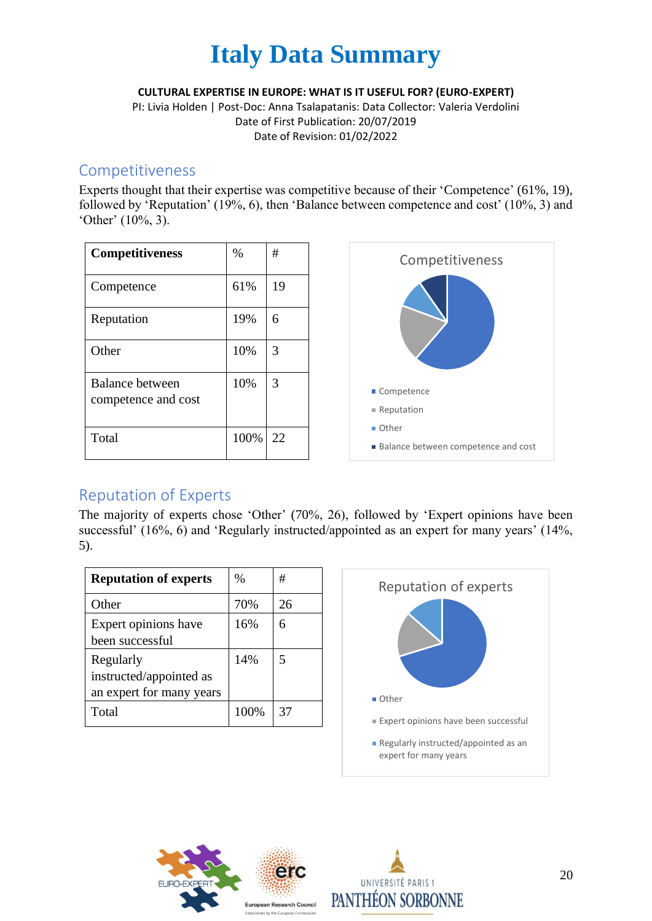

**CULTURAL EXPERTISE IN EUROPE: WHAT IS IT USEFUL FOR? (EURO-EXPERT)**

PI: Livia Holden | Post-Doc: Anna Tsalapatanis: Data Collector: Valeria Verdolini Date of First Publication: 20/07/2019 Date of Revision: 01/02/2022

#### Competitiveness

Experts thought that their expertise was competitive because of their 'Competence' (61%, 19), followed by 'Reputation' (19%, 6), then 'Balance between competence and cost' (10%, 3) and 'Other' (10%, 3).

| <b>Competitiveness</b>                 | $\%$ | #  |
|----------------------------------------|------|----|
| Competence                             | 61%  | 19 |
| Reputation                             | 19%  | 6  |
| Other                                  | 10%  | 3  |
| Balance between<br>competence and cost | 10%  | 3  |
| Total                                  | 100% | 22 |



### Reputation of Experts

The majority of experts chose 'Other' (70%, 26), followed by 'Expert opinions have been successful' (16%, 6) and 'Regularly instructed/appointed as an expert for many years' (14%, 5).

| <b>Reputation of experts</b>                                     | $\frac{0}{0}$ | #  |
|------------------------------------------------------------------|---------------|----|
| Other                                                            | 70%           | 26 |
| Expert opinions have<br>been successful                          | 16%           | 6  |
| Regularly<br>instructed/appointed as<br>an expert for many years | 14%           | 5  |
| Total                                                            | 100%          | 37 |





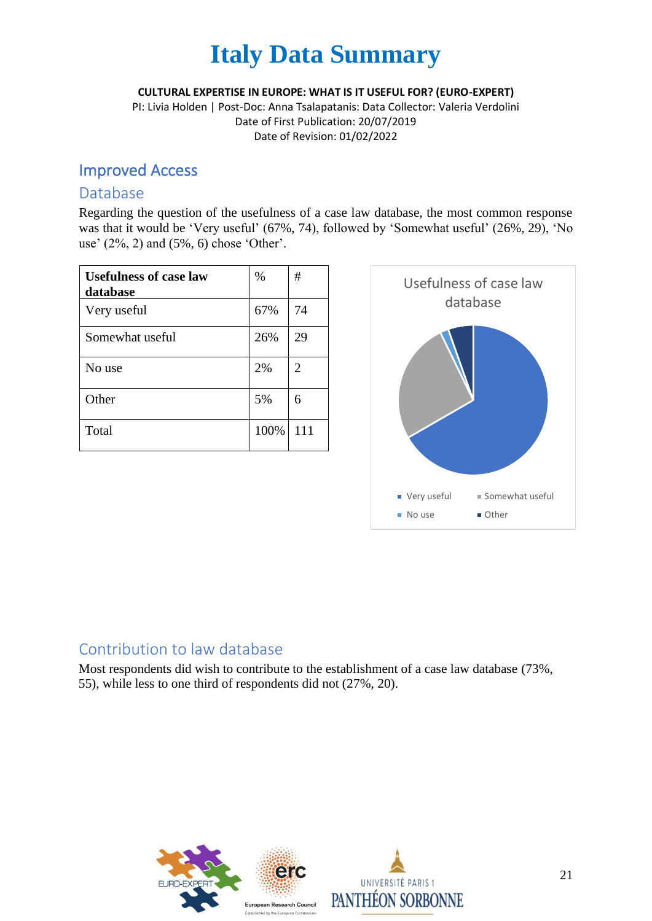**CULTURAL EXPERTISE IN EUROPE: WHAT IS IT USEFUL FOR? (EURO-EXPERT)**

PI: Livia Holden | Post-Doc: Anna Tsalapatanis: Data Collector: Valeria Verdolini Date of First Publication: 20/07/2019 Date of Revision: 01/02/2022

### Improved Access

#### Database

Regarding the question of the usefulness of a case law database, the most common response was that it would be 'Very useful' (67%, 74), followed by 'Somewhat useful' (26%, 29), 'No use' (2%, 2) and (5%, 6) chose 'Other'.

| <b>Usefulness of case law</b><br>database | $\%$ | #   |
|-------------------------------------------|------|-----|
| Very useful                               | 67%  | 74  |
| Somewhat useful                           | 26%  | 29  |
| No use                                    | 2%   | 2   |
| Other                                     | 5%   | 6   |
| Total                                     | 100% | 111 |



## Contribution to law database

Most respondents did wish to contribute to the establishment of a case law database (73%, 55), while less to one third of respondents did not (27%, 20).

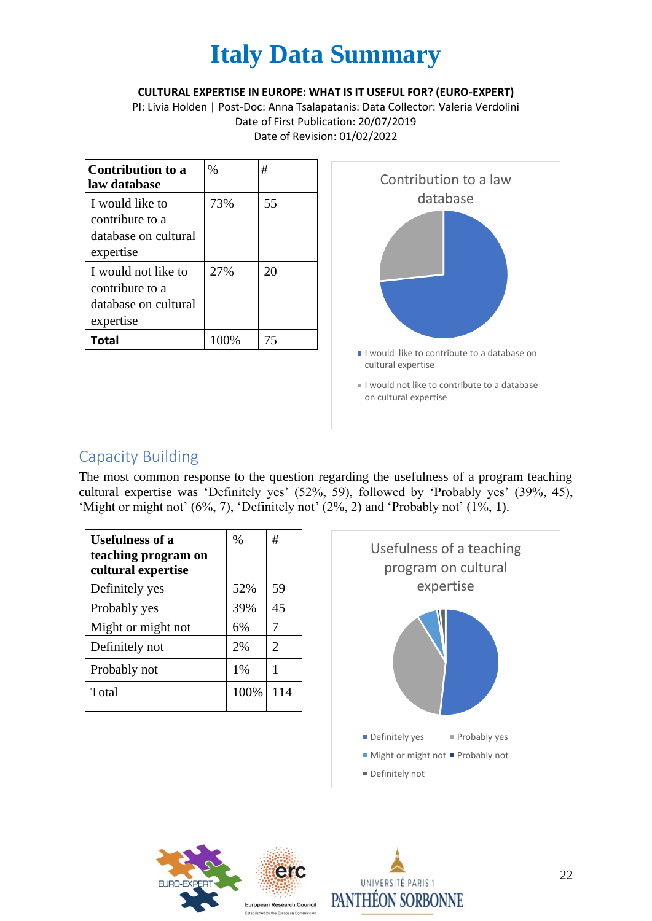#### **CULTURAL EXPERTISE IN EUROPE: WHAT IS IT USEFUL FOR? (EURO-EXPERT)**

PI: Livia Holden | Post-Doc: Anna Tsalapatanis: Data Collector: Valeria Verdolini Date of First Publication: 20/07/2019 Date of Revision: 01/02/2022

| Contribution to a<br>law database                                           | $\%$ | #  |
|-----------------------------------------------------------------------------|------|----|
| I would like to<br>contribute to a<br>database on cultural<br>expertise     | 73%  | 55 |
| I would not like to<br>contribute to a<br>database on cultural<br>expertise | 27%  | 20 |
| Total                                                                       | 100% | 75 |



## Capacity Building

The most common response to the question regarding the usefulness of a program teaching cultural expertise was 'Definitely yes' (52%, 59), followed by 'Probably yes' (39%, 45), 'Might or might not' (6%, 7), 'Definitely not' (2%, 2) and 'Probably not' (1%, 1).

| <b>Usefulness of a</b><br>teaching program on<br>cultural expertise | $\frac{0}{0}$ | #                     |
|---------------------------------------------------------------------|---------------|-----------------------|
| Definitely yes                                                      | 52%           | 59                    |
| Probably yes                                                        | 39%           | 45                    |
| Might or might not                                                  | 6%            | 7                     |
| Definitely not                                                      | 2%            | $\mathcal{D}_{\cdot}$ |
| Probably not                                                        | 1%            |                       |
| Total                                                               | 100%          | 114                   |